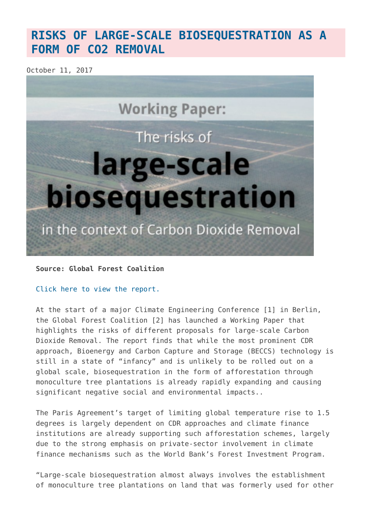## **[RISKS OF LARGE-SCALE BIOSEQUESTRATION AS A](https://www.geoengineeringmonitor.org/2017/10/new-report-highlights-risks-of-large-scale-biosequestration-as-a-form-of-co2-removal/) [FORM OF CO2 REMOVAL](https://www.geoengineeringmonitor.org/2017/10/new-report-highlights-risks-of-large-scale-biosequestration-as-a-form-of-co2-removal/)**

October 11, 2017



**Source: Global Forest Coalition**

[Click here to view the report.](http://globalforestcoalition.org/media-advisory-new-gfc-report-highlights-risks-large-scale-biosequestration-form-carbon-dioxide-removal-cdr/)

At the start of a major Climate Engineering Conference [1] in Berlin, the Global Forest Coalition [2] has launched a Working Paper that highlights the risks of different proposals for large-scale Carbon Dioxide Removal. The report finds that while the most prominent CDR approach, Bioenergy and Carbon Capture and Storage (BECCS) technology is still in a state of "infancy" and is unlikely to be rolled out on a global scale, biosequestration in the form of afforestation through monoculture tree plantations is already rapidly expanding and causing significant negative social and environmental impacts..

The Paris Agreement's target of limiting global temperature rise to 1.5 degrees is largely dependent on CDR approaches and climate finance institutions are already supporting such afforestation schemes, largely due to the strong emphasis on private-sector involvement in climate finance mechanisms such as the World Bank's Forest Investment Program.

"Large-scale biosequestration almost always involves the establishment of monoculture tree plantations on land that was formerly used for other